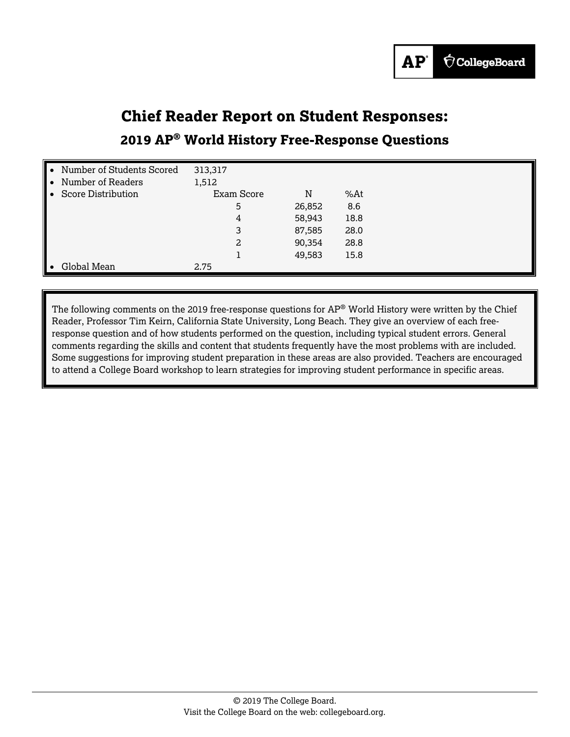## **Chief Reader Report on Student Responses:**

## **2019 AP® World History Free-Response Questions**

| • Number of Students Scored | 313,317    |        |      |  |
|-----------------------------|------------|--------|------|--|
| Number of Readers           | 1,512      |        |      |  |
| <b>Score Distribution</b>   | Exam Score | N      | %At  |  |
|                             | 5          | 26,852 | 8.6  |  |
|                             | 4          | 58,943 | 18.8 |  |
|                             | 3          | 87,585 | 28.0 |  |
|                             | 2          | 90,354 | 28.8 |  |
|                             |            | 49,583 | 15.8 |  |
| Global Mean                 | 2.75       |        |      |  |

The following comments on the 2019 free-response questions for  $AP^{\circ}$  World History were written by the Chief Reader, Professor Tim Keirn, California State University, Long Beach. They give an overview of each freeresponse question and of how students performed on the question, including typical student errors. General comments regarding the skills and content that students frequently have the most problems with are included. Some suggestions for improving student preparation in these areas are also provided. Teachers are encouraged to attend a College Board workshop to learn strategies for improving student performance in specific areas.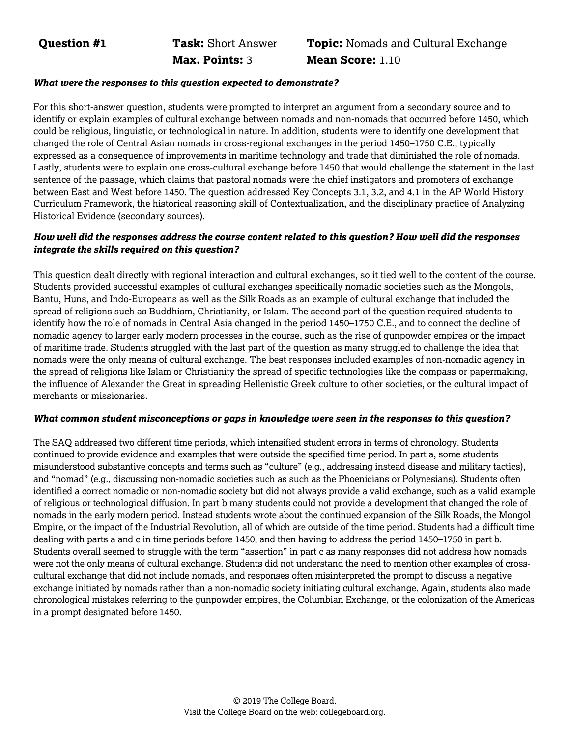**Max. Points:** 3 **Mean Score:** 1.10

# **Question #1 Task:** Short Answer **Topic:** Nomads and Cultural Exchange

#### *What were the responses to this question expected to demonstrate?*

For this short-answer question, students were prompted to interpret an argument from a secondary source and to identify or explain examples of cultural exchange between nomads and non-nomads that occurred before 1450, which could be religious, linguistic, or technological in nature. In addition, students were to identify one development that changed the role of Central Asian nomads in cross-regional exchanges in the period 1450–1750 C.E., typically expressed as a consequence of improvements in maritime technology and trade that diminished the role of nomads. Lastly, students were to explain one cross-cultural exchange before 1450 that would challenge the statement in the last sentence of the passage, which claims that pastoral nomads were the chief instigators and promoters of exchange between East and West before 1450. The question addressed Key Concepts 3.1, 3.2, and 4.1 in the AP World History Curriculum Framework, the historical reasoning skill of Contextualization, and the disciplinary practice of Analyzing Historical Evidence (secondary sources).

#### *How well did the responses address the course content related to this question? How well did the responses integrate the skills required on this question?*

This question dealt directly with regional interaction and cultural exchanges, so it tied well to the content of the course. Students provided successful examples of cultural exchanges specifically nomadic societies such as the Mongols, Bantu, Huns, and Indo-Europeans as well as the Silk Roads as an example of cultural exchange that included the spread of religions such as Buddhism, Christianity, or Islam. The second part of the question required students to identify how the role of nomads in Central Asia changed in the period 1450–1750 C.E., and to connect the decline of nomadic agency to larger early modern processes in the course, such as the rise of gunpowder empires or the impact of maritime trade. Students struggled with the last part of the question as many struggled to challenge the idea that nomads were the only means of cultural exchange. The best responses included examples of non-nomadic agency in the spread of religions like Islam or Christianity the spread of specific technologies like the compass or papermaking, the influence of Alexander the Great in spreading Hellenistic Greek culture to other societies, or the cultural impact of merchants or missionaries.

#### *What common student misconceptions or gaps in knowledge were seen in the responses to this question?*

The SAQ addressed two different time periods, which intensified student errors in terms of chronology. Students continued to provide evidence and examples that were outside the specified time period. In part a, some students misunderstood substantive concepts and terms such as "culture" (e.g., addressing instead disease and military tactics), and "nomad" (e.g., discussing non-nomadic societies such as such as the Phoenicians or Polynesians). Students often identified a correct nomadic or non-nomadic society but did not always provide a valid exchange, such as a valid example of religious or technological diffusion. In part b many students could not provide a development that changed the role of nomads in the early modern period. Instead students wrote about the continued expansion of the Silk Roads, the Mongol Empire, or the impact of the Industrial Revolution, all of which are outside of the time period. Students had a difficult time dealing with parts a and c in time periods before 1450, and then having to address the period 1450–1750 in part b. Students overall seemed to struggle with the term "assertion" in part c as many responses did not address how nomads were not the only means of cultural exchange. Students did not understand the need to mention other examples of crosscultural exchange that did not include nomads, and responses often misinterpreted the prompt to discuss a negative exchange initiated by nomads rather than a non-nomadic society initiating cultural exchange. Again, students also made chronological mistakes referring to the gunpowder empires, the Columbian Exchange, or the colonization of the Americas in a prompt designated before 1450.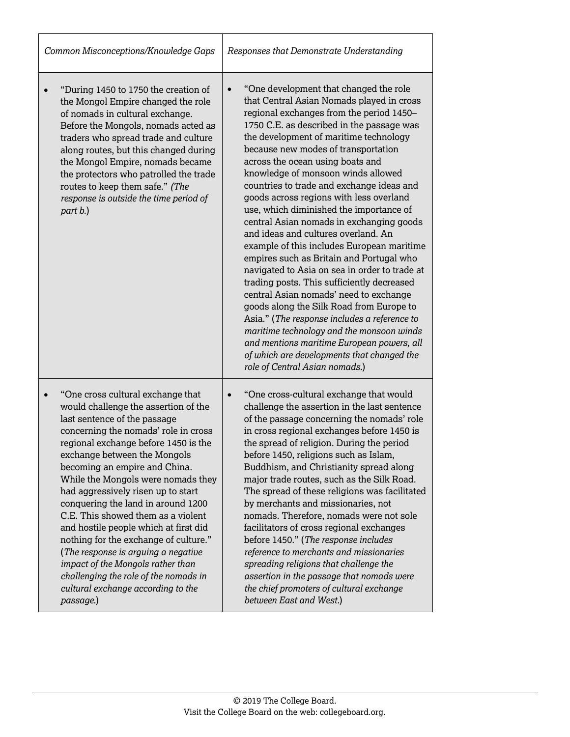| Common Misconceptions/Knowledge Gaps                                                                                                                                                                                                                                                                                                                                                                                                                                                                                                                                                                                                                                         | Responses that Demonstrate Understanding                                                                                                                                                                                                                                                                                                                                                                                                                                                                                                                                                                                                                                                                                                                                                                                                                                                                                                                                                                                                                                             |  |
|------------------------------------------------------------------------------------------------------------------------------------------------------------------------------------------------------------------------------------------------------------------------------------------------------------------------------------------------------------------------------------------------------------------------------------------------------------------------------------------------------------------------------------------------------------------------------------------------------------------------------------------------------------------------------|--------------------------------------------------------------------------------------------------------------------------------------------------------------------------------------------------------------------------------------------------------------------------------------------------------------------------------------------------------------------------------------------------------------------------------------------------------------------------------------------------------------------------------------------------------------------------------------------------------------------------------------------------------------------------------------------------------------------------------------------------------------------------------------------------------------------------------------------------------------------------------------------------------------------------------------------------------------------------------------------------------------------------------------------------------------------------------------|--|
| "During 1450 to 1750 the creation of<br>the Mongol Empire changed the role<br>of nomads in cultural exchange.<br>Before the Mongols, nomads acted as<br>traders who spread trade and culture<br>along routes, but this changed during<br>the Mongol Empire, nomads became<br>the protectors who patrolled the trade<br>routes to keep them safe." (The<br>response is outside the time period of<br>part b.)                                                                                                                                                                                                                                                                 | "One development that changed the role<br>$\bullet$<br>that Central Asian Nomads played in cross<br>regional exchanges from the period 1450-<br>1750 C.E. as described in the passage was<br>the development of maritime technology<br>because new modes of transportation<br>across the ocean using boats and<br>knowledge of monsoon winds allowed<br>countries to trade and exchange ideas and<br>goods across regions with less overland<br>use, which diminished the importance of<br>central Asian nomads in exchanging goods<br>and ideas and cultures overland. An<br>example of this includes European maritime<br>empires such as Britain and Portugal who<br>navigated to Asia on sea in order to trade at<br>trading posts. This sufficiently decreased<br>central Asian nomads' need to exchange<br>goods along the Silk Road from Europe to<br>Asia." (The response includes a reference to<br>maritime technology and the monsoon winds<br>and mentions maritime European powers, all<br>of which are developments that changed the<br>role of Central Asian nomads.) |  |
| "One cross cultural exchange that<br>would challenge the assertion of the<br>last sentence of the passage<br>concerning the nomads' role in cross<br>regional exchange before 1450 is the<br>exchange between the Mongols<br>becoming an empire and China.<br>While the Mongols were nomads they<br>had aggressively risen up to start<br>conquering the land in around 1200<br>C.E. This showed them as a violent<br>and hostile people which at first did<br>nothing for the exchange of culture."<br>(The response is arguing a negative<br>impact of the Mongols rather than<br>challenging the role of the nomads in<br>cultural exchange according to the<br>passage.) | "One cross-cultural exchange that would<br>$\bullet$<br>challenge the assertion in the last sentence<br>of the passage concerning the nomads' role<br>in cross regional exchanges before 1450 is<br>the spread of religion. During the period<br>before 1450, religions such as Islam,<br>Buddhism, and Christianity spread along<br>major trade routes, such as the Silk Road.<br>The spread of these religions was facilitated<br>by merchants and missionaries, not<br>nomads. Therefore, nomads were not sole<br>facilitators of cross regional exchanges<br>before 1450." (The response includes<br>reference to merchants and missionaries<br>spreading religions that challenge the<br>assertion in the passage that nomads were<br>the chief promoters of cultural exchange<br>between East and West.)                                                                                                                                                                                                                                                                       |  |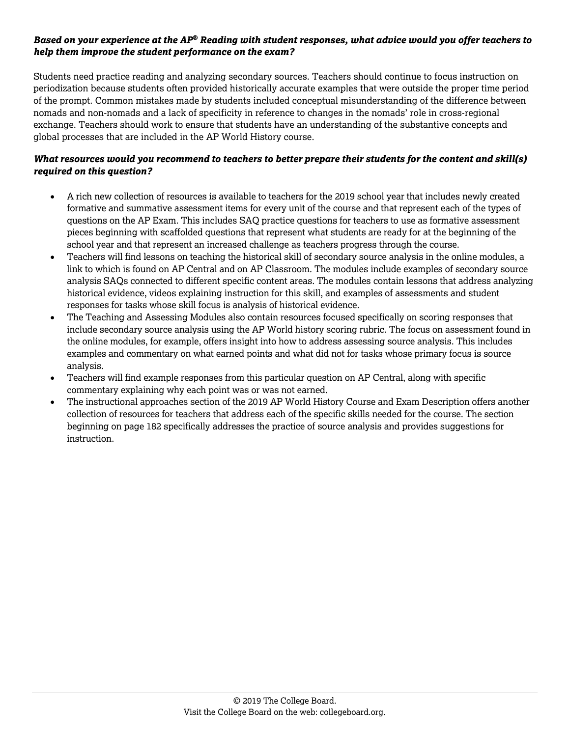Students need practice reading and analyzing secondary sources. Teachers should continue to focus instruction on periodization because students often provided historically accurate examples that were outside the proper time period of the prompt. Common mistakes made by students included conceptual misunderstanding of the difference between nomads and non-nomads and a lack of specificity in reference to changes in the nomads' role in cross-regional exchange. Teachers should work to ensure that students have an understanding of the substantive concepts and global processes that are included in the AP World History course.

- A rich new collection of resources is available to teachers for the 2019 school year that includes newly created formative and summative assessment items for every unit of the course and that represent each of the types of questions on the AP Exam. This includes SAQ practice questions for teachers to use as formative assessment pieces beginning with scaffolded questions that represent what students are ready for at the beginning of the school year and that represent an increased challenge as teachers progress through the course.
- Teachers will find lessons on teaching the historical skill of secondary source analysis in the online modules, a link to which is found on AP Central and on AP Classroom. The modules include examples of secondary source analysis SAQs connected to different specific content areas. The modules contain lessons that address analyzing historical evidence, videos explaining instruction for this skill, and examples of assessments and student responses for tasks whose skill focus is analysis of historical evidence.
- The Teaching and Assessing Modules also contain resources focused specifically on scoring responses that include secondary source analysis using the AP World history scoring rubric. The focus on assessment found in the online modules, for example, offers insight into how to address assessing source analysis. This includes examples and commentary on what earned points and what did not for tasks whose primary focus is source analysis.
- Teachers will find example responses from this particular question on AP Central, along with specific commentary explaining why each point was or was not earned.
- The instructional approaches section of the 2019 AP World History Course and Exam Description offers another collection of resources for teachers that address each of the specific skills needed for the course. The section beginning on page 182 specifically addresses the practice of source analysis and provides suggestions for instruction.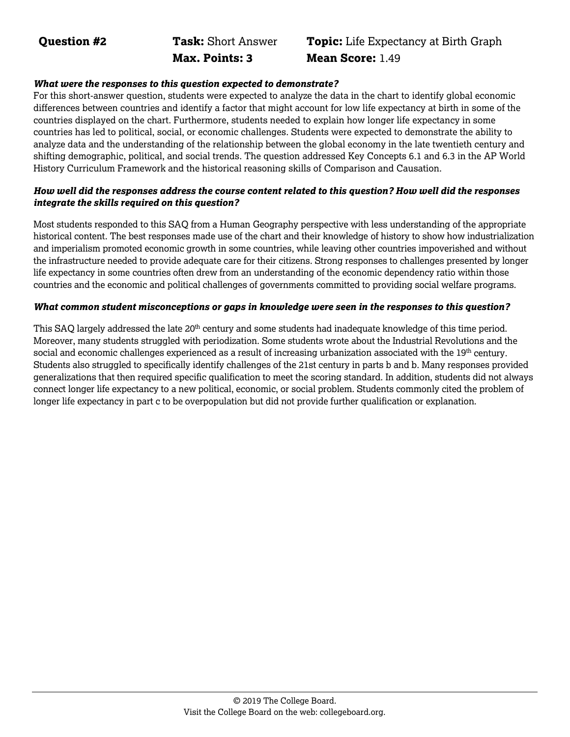**Max. Points: 3 Mean Score:** 1.49

# **Question #2 Task:** Short Answer **Topic:** Life Expectancy at Birth Graph

#### *What were the responses to this question expected to demonstrate?*

For this short-answer question, students were expected to analyze the data in the chart to identify global economic differences between countries and identify a factor that might account for low life expectancy at birth in some of the countries displayed on the chart. Furthermore, students needed to explain how longer life expectancy in some countries has led to political, social, or economic challenges. Students were expected to demonstrate the ability to analyze data and the understanding of the relationship between the global economy in the late twentieth century and shifting demographic, political, and social trends. The question addressed Key Concepts 6.1 and 6.3 in the AP World History Curriculum Framework and the historical reasoning skills of Comparison and Causation.

#### *How well did the responses address the course content related to this question? How well did the responses integrate the skills required on this question?*

Most students responded to this SAQ from a Human Geography perspective with less understanding of the appropriate historical content. The best responses made use of the chart and their knowledge of history to show how industrialization and imperialism promoted economic growth in some countries, while leaving other countries impoverished and without the infrastructure needed to provide adequate care for their citizens. Strong responses to challenges presented by longer life expectancy in some countries often drew from an understanding of the economic dependency ratio within those countries and the economic and political challenges of governments committed to providing social welfare programs.

#### *What common student misconceptions or gaps in knowledge were seen in the responses to this question?*

This SAQ largely addressed the late 20<sup>th</sup> century and some students had inadequate knowledge of this time period. Moreover, many students struggled with periodization. Some students wrote about the Industrial Revolutions and the social and economic challenges experienced as a result of increasing urbanization associated with the 19<sup>th</sup> century. Students also struggled to specifically identify challenges of the 21st century in parts b and b. Many responses provided generalizations that then required specific qualification to meet the scoring standard. In addition, students did not always connect longer life expectancy to a new political, economic, or social problem. Students commonly cited the problem of longer life expectancy in part c to be overpopulation but did not provide further qualification or explanation.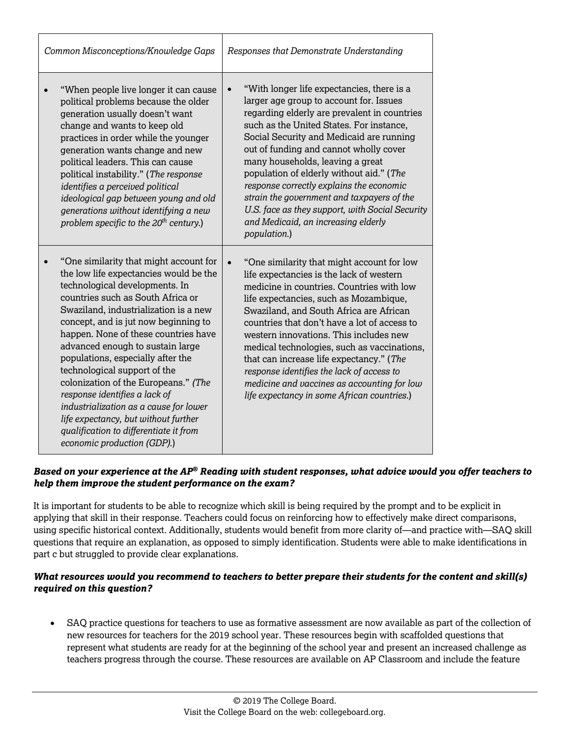| Common Misconceptions/Knowledge Gaps                                                                                                                                                                                                                                                                                                                                                                                                                                                                                                                                                                                          | Responses that Demonstrate Understanding                                                                                                                                                                                                                                                                                                                                                                                                                                                                                                                                 |  |
|-------------------------------------------------------------------------------------------------------------------------------------------------------------------------------------------------------------------------------------------------------------------------------------------------------------------------------------------------------------------------------------------------------------------------------------------------------------------------------------------------------------------------------------------------------------------------------------------------------------------------------|--------------------------------------------------------------------------------------------------------------------------------------------------------------------------------------------------------------------------------------------------------------------------------------------------------------------------------------------------------------------------------------------------------------------------------------------------------------------------------------------------------------------------------------------------------------------------|--|
| "When people live longer it can cause<br>political problems because the older<br>generation usually doesn't want<br>change and wants to keep old<br>practices in order while the younger<br>generation wants change and new<br>political leaders. This can cause<br>political instability." (The response<br>identifies a perceived political<br>ideological gap between young and old<br>generations without identifying a new<br>problem specific to the $20^{th}$ century.)                                                                                                                                                | "With longer life expectancies, there is a<br>$\bullet$<br>larger age group to account for. Issues<br>regarding elderly are prevalent in countries<br>such as the United States. For instance,<br>Social Security and Medicaid are running<br>out of funding and cannot wholly cover<br>many households, leaving a great<br>population of elderly without aid." (The<br>response correctly explains the economic<br>strain the government and taxpayers of the<br>U.S. face as they support, with Social Security<br>and Medicaid, an increasing elderly<br>population.) |  |
| "One similarity that might account for<br>the low life expectancies would be the<br>technological developments. In<br>countries such as South Africa or<br>Swaziland, industrialization is a new<br>concept, and is jut now beginning to<br>happen. None of these countries have<br>advanced enough to sustain large<br>populations, especially after the<br>technological support of the<br>colonization of the Europeans." (The<br>response identifies a lack of<br>industrialization as a cause for lower<br>life expectancy, but without further<br>qualification to differentiate it from<br>economic production (GDP).) | "One similarity that might account for low<br>$\bullet$<br>life expectancies is the lack of western<br>medicine in countries. Countries with low<br>life expectancies, such as Mozambique,<br>Swaziland, and South Africa are African<br>countries that don't have a lot of access to<br>western innovations. This includes new<br>medical technologies, such as vaccinations,<br>that can increase life expectancy." (The<br>response identifies the lack of access to<br>medicine and vaccines as accounting for low<br>life expectancy in some African countries.)    |  |

It is important for students to be able to recognize which skill is being required by the prompt and to be explicit in applying that skill in their response. Teachers could focus on reinforcing how to effectively make direct comparisons, using specific historical context. Additionally, students would benefit from more clarity of—and practice with—SAQ skill questions that require an explanation, as opposed to simply identification. Students were able to make identifications in part c but struggled to provide clear explanations.

### *What resources would you recommend to teachers to better prepare their students for the content and skill(s) required on this question?*

• SAQ practice questions for teachers to use as formative assessment are now available as part of the collection of new resources for teachers for the 2019 school year. These resources begin with scaffolded questions that represent what students are ready for at the beginning of the school year and present an increased challenge as teachers progress through the course. These resources are available on AP Classroom and include the feature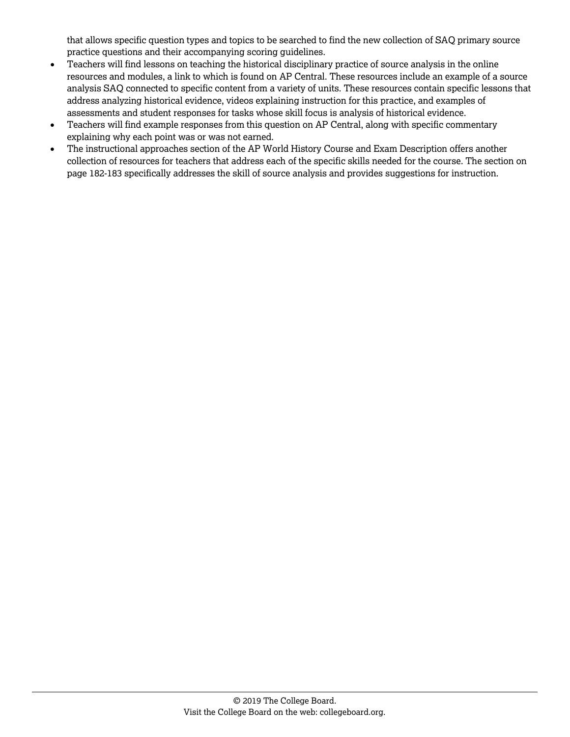that allows specific question types and topics to be searched to find the new collection of SAQ primary source practice questions and their accompanying scoring guidelines.

- Teachers will find lessons on teaching the historical disciplinary practice of source analysis in the online resources and modules, a link to which is found on AP Central. These resources include an example of a source analysis SAQ connected to specific content from a variety of units. These resources contain specific lessons that address analyzing historical evidence, videos explaining instruction for this practice, and examples of assessments and student responses for tasks whose skill focus is analysis of historical evidence.
- Teachers will find example responses from this question on AP Central, along with specific commentary explaining why each point was or was not earned.
- The instructional approaches section of the AP World History Course and Exam Description offers another collection of resources for teachers that address each of the specific skills needed for the course. The section on page 182-183 specifically addresses the skill of source analysis and provides suggestions for instruction.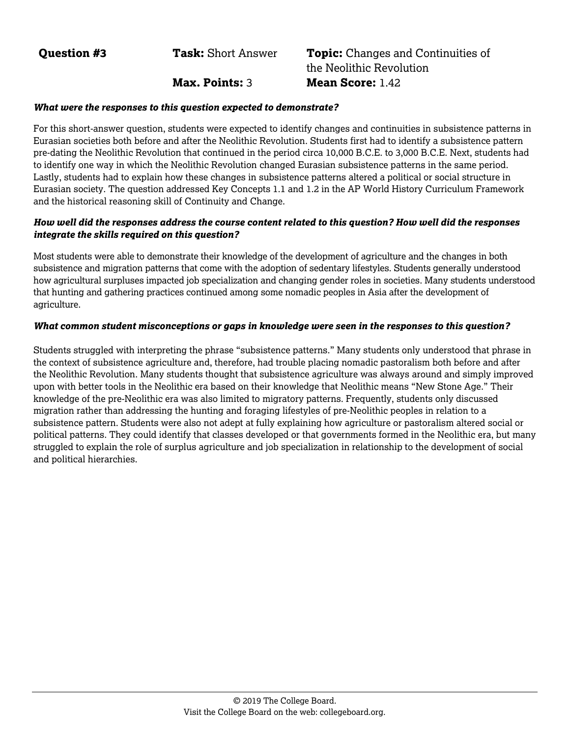### **Question #3 Task:** Short Answer **Topic:** Changes and Continuities of the Neolithic Revolution **Max. Points:** 3 **Mean Score:** 1.42

#### *What were the responses to this question expected to demonstrate?*

For this short-answer question, students were expected to identify changes and continuities in subsistence patterns in Eurasian societies both before and after the Neolithic Revolution. Students first had to identify a subsistence pattern pre-dating the Neolithic Revolution that continued in the period circa 10,000 B.C.E. to 3,000 B.C.E. Next, students had to identify one way in which the Neolithic Revolution changed Eurasian subsistence patterns in the same period. Lastly, students had to explain how these changes in subsistence patterns altered a political or social structure in Eurasian society. The question addressed Key Concepts 1.1 and 1.2 in the AP World History Curriculum Framework and the historical reasoning skill of Continuity and Change.

#### *How well did the responses address the course content related to this question? How well did the responses integrate the skills required on this question?*

Most students were able to demonstrate their knowledge of the development of agriculture and the changes in both subsistence and migration patterns that come with the adoption of sedentary lifestyles. Students generally understood how agricultural surpluses impacted job specialization and changing gender roles in societies. Many students understood that hunting and gathering practices continued among some nomadic peoples in Asia after the development of agriculture.

#### *What common student misconceptions or gaps in knowledge were seen in the responses to this question?*

Students struggled with interpreting the phrase "subsistence patterns." Many students only understood that phrase in the context of subsistence agriculture and, therefore, had trouble placing nomadic pastoralism both before and after the Neolithic Revolution. Many students thought that subsistence agriculture was always around and simply improved upon with better tools in the Neolithic era based on their knowledge that Neolithic means "New Stone Age." Their knowledge of the pre-Neolithic era was also limited to migratory patterns. Frequently, students only discussed migration rather than addressing the hunting and foraging lifestyles of pre-Neolithic peoples in relation to a subsistence pattern. Students were also not adept at fully explaining how agriculture or pastoralism altered social or political patterns. They could identify that classes developed or that governments formed in the Neolithic era, but many struggled to explain the role of surplus agriculture and job specialization in relationship to the development of social and political hierarchies.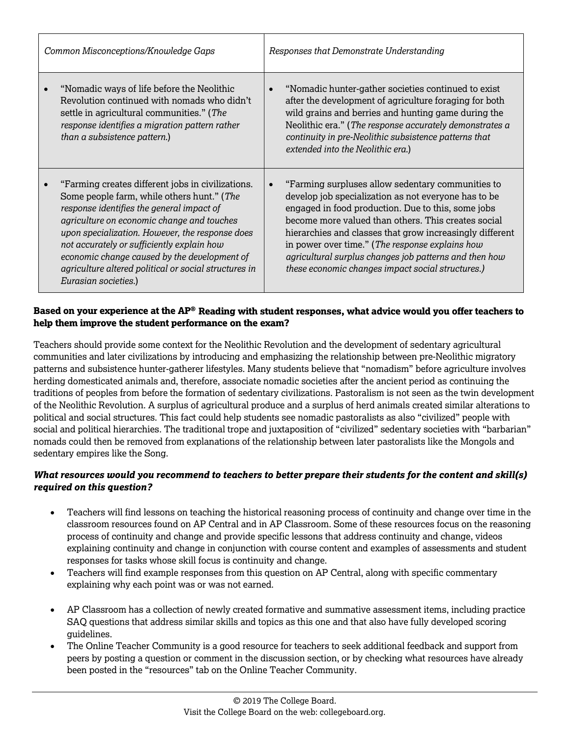| Common Misconceptions/Knowledge Gaps                                                                                                                                                                                                                                                                                                                                                                                         | Responses that Demonstrate Understanding                                                                                                                                                                                                                                                                                                                                                                                                                          |  |  |
|------------------------------------------------------------------------------------------------------------------------------------------------------------------------------------------------------------------------------------------------------------------------------------------------------------------------------------------------------------------------------------------------------------------------------|-------------------------------------------------------------------------------------------------------------------------------------------------------------------------------------------------------------------------------------------------------------------------------------------------------------------------------------------------------------------------------------------------------------------------------------------------------------------|--|--|
| "Nomadic ways of life before the Neolithic<br>Revolution continued with nomads who didn't<br>settle in agricultural communities." (The<br>response identifies a migration pattern rather<br>than a subsistence pattern.)                                                                                                                                                                                                     | "Nomadic hunter-gather societies continued to exist<br>$\bullet$<br>after the development of agriculture foraging for both<br>wild grains and berries and hunting game during the<br>Neolithic era." (The response accurately demonstrates a<br>continuity in pre-Neolithic subsistence patterns that<br>extended into the Neolithic era.)                                                                                                                        |  |  |
| "Farming creates different jobs in civilizations.<br>Some people farm, while others hunt." (The<br>response identifies the general impact of<br>agriculture on economic change and touches<br>upon specialization. However, the response does<br>not accurately or sufficiently explain how<br>economic change caused by the development of<br>agriculture altered political or social structures in<br>Eurasian societies.) | "Farming surpluses allow sedentary communities to<br>$\bullet$<br>develop job specialization as not everyone has to be<br>engaged in food production. Due to this, some jobs<br>become more valued than others. This creates social<br>hierarchies and classes that grow increasingly different<br>in power over time." (The response explains how<br>agricultural surplus changes job patterns and then how<br>these economic changes impact social structures.) |  |  |

Teachers should provide some context for the Neolithic Revolution and the development of sedentary agricultural communities and later civilizations by introducing and emphasizing the relationship between pre-Neolithic migratory patterns and subsistence hunter-gatherer lifestyles. Many students believe that "nomadism" before agriculture involves herding domesticated animals and, therefore, associate nomadic societies after the ancient period as continuing the traditions of peoples from before the formation of sedentary civilizations. Pastoralism is not seen as the twin development of the Neolithic Revolution. A surplus of agricultural produce and a surplus of herd animals created similar alterations to political and social structures. This fact could help students see nomadic pastoralists as also "civilized" people with social and political hierarchies. The traditional trope and juxtaposition of "civilized" sedentary societies with "barbarian" nomads could then be removed from explanations of the relationship between later pastoralists like the Mongols and sedentary empires like the Song.

- Teachers will find lessons on teaching the historical reasoning process of continuity and change over time in the classroom resources found on AP Central and in AP Classroom. Some of these resources focus on the reasoning process of continuity and change and provide specific lessons that address continuity and change, videos explaining continuity and change in conjunction with course content and examples of assessments and student responses for tasks whose skill focus is continuity and change.
- Teachers will find example responses from this question on AP Central, along with specific commentary explaining why each point was or was not earned.
- AP Classroom has a collection of newly created formative and summative assessment items, including practice SAQ questions that address similar skills and topics as this one and that also have fully developed scoring guidelines.
- The Online Teacher Community is a good resource for teachers to seek additional feedback and support from peers by posting a question or comment in the discussion section, or by checking what resources have already been posted in the "resources" tab on the Online Teacher Community.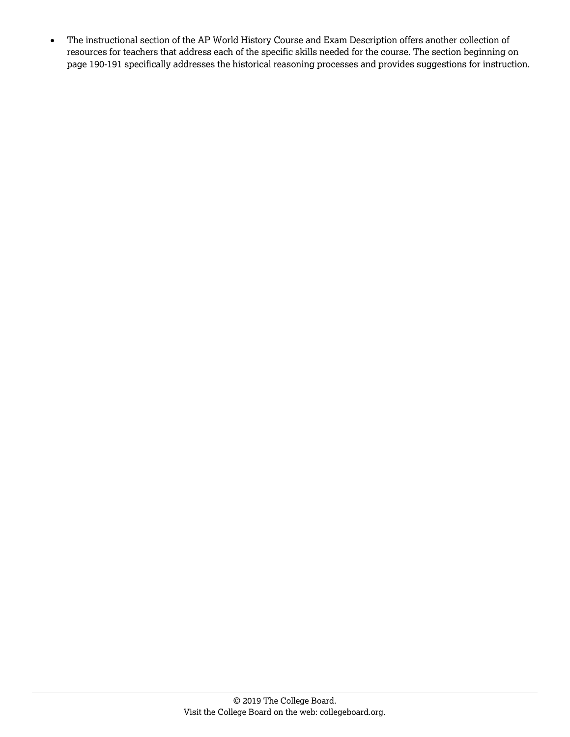• The instructional section of the AP World History Course and Exam Description offers another collection of resources for teachers that address each of the specific skills needed for the course. The section beginning on page 190-191 specifically addresses the historical reasoning processes and provides suggestions for instruction.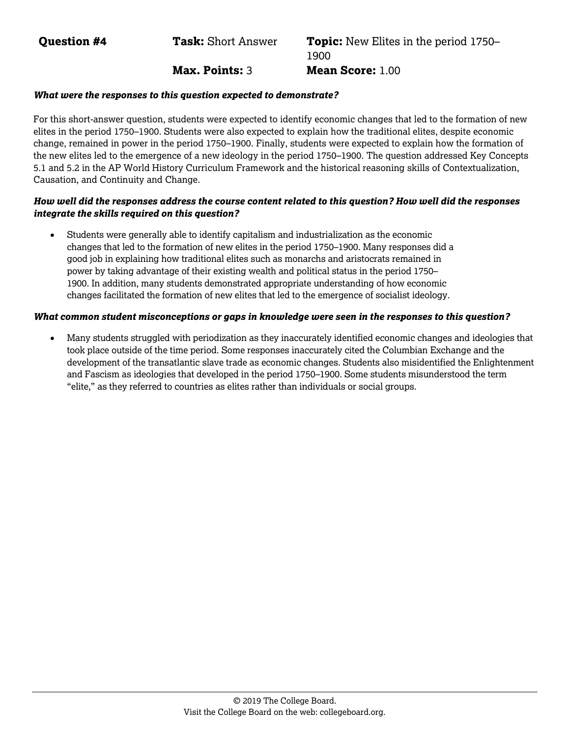**Question #4 Task:** Short Answer **Topic:** New Elites in the period 1750– 1900 **Max. Points:** 3 **Mean Score:** 1.00

#### *What were the responses to this question expected to demonstrate?*

For this short-answer question, students were expected to identify economic changes that led to the formation of new elites in the period 1750–1900. Students were also expected to explain how the traditional elites, despite economic change, remained in power in the period 1750–1900. Finally, students were expected to explain how the formation of the new elites led to the emergence of a new ideology in the period 1750–1900. The question addressed Key Concepts 5.1 and 5.2 in the AP World History Curriculum Framework and the historical reasoning skills of Contextualization, Causation, and Continuity and Change.

#### *How well did the responses address the course content related to this question? How well did the responses integrate the skills required on this question?*

• Students were generally able to identify capitalism and industrialization as the economic changes that led to the formation of new elites in the period 1750–1900. Many responses did a good job in explaining how traditional elites such as monarchs and aristocrats remained in power by taking advantage of their existing wealth and political status in the period 1750– 1900. In addition, many students demonstrated appropriate understanding of how economic changes facilitated the formation of new elites that led to the emergence of socialist ideology.

#### *What common student misconceptions or gaps in knowledge were seen in the responses to this question?*

• Many students struggled with periodization as they inaccurately identified economic changes and ideologies that took place outside of the time period. Some responses inaccurately cited the Columbian Exchange and the development of the transatlantic slave trade as economic changes. Students also misidentified the Enlightenment and Fascism as ideologies that developed in the period 1750–1900. Some students misunderstood the term "elite," as they referred to countries as elites rather than individuals or social groups.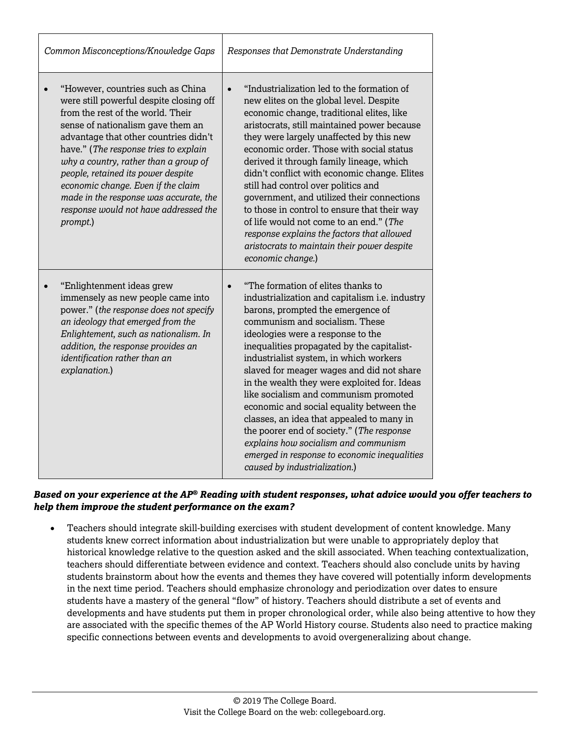| Common Misconceptions/Knowledge Gaps                                                                                                                                                                                                                                                                                                                                                                                                                                      | Responses that Demonstrate Understanding                                                                                                                                                                                                                                                                                                                                                                                                                                                                                                                                                                                                                                                                   |  |
|---------------------------------------------------------------------------------------------------------------------------------------------------------------------------------------------------------------------------------------------------------------------------------------------------------------------------------------------------------------------------------------------------------------------------------------------------------------------------|------------------------------------------------------------------------------------------------------------------------------------------------------------------------------------------------------------------------------------------------------------------------------------------------------------------------------------------------------------------------------------------------------------------------------------------------------------------------------------------------------------------------------------------------------------------------------------------------------------------------------------------------------------------------------------------------------------|--|
| "However, countries such as China<br>$\bullet$<br>were still powerful despite closing off<br>from the rest of the world. Their<br>sense of nationalism gave them an<br>advantage that other countries didn't<br>have." (The response tries to explain<br>why a country, rather than a group of<br>people, retained its power despite<br>economic change. Even if the claim<br>made in the response was accurate, the<br>response would not have addressed the<br>prompt.) | "Industrialization led to the formation of<br>$\bullet$<br>new elites on the global level. Despite<br>economic change, traditional elites, like<br>aristocrats, still maintained power because<br>they were largely unaffected by this new<br>economic order. Those with social status<br>derived it through family lineage, which<br>didn't conflict with economic change. Elites<br>still had control over politics and<br>government, and utilized their connections<br>to those in control to ensure that their way<br>of life would not come to an end." (The<br>response explains the factors that allowed<br>aristocrats to maintain their power despite<br>economic change.)                       |  |
| "Enlightenment ideas grew<br>immensely as new people came into<br>power." (the response does not specify<br>an ideology that emerged from the<br>Enlightement, such as nationalism. In<br>addition, the response provides an<br>identification rather than an<br>explanation.)                                                                                                                                                                                            | "The formation of elites thanks to<br>$\bullet$<br>industrialization and capitalism i.e. industry<br>barons, prompted the emergence of<br>communism and socialism. These<br>ideologies were a response to the<br>inequalities propagated by the capitalist-<br>industrialist system, in which workers<br>slaved for meager wages and did not share<br>in the wealth they were exploited for. Ideas<br>like socialism and communism promoted<br>economic and social equality between the<br>classes, an idea that appealed to many in<br>the poorer end of society." (The response<br>explains how socialism and communism<br>emerged in response to economic inequalities<br>caused by industrialization.) |  |

• Teachers should integrate skill-building exercises with student development of content knowledge. Many students knew correct information about industrialization but were unable to appropriately deploy that historical knowledge relative to the question asked and the skill associated. When teaching contextualization, teachers should differentiate between evidence and context. Teachers should also conclude units by having students brainstorm about how the events and themes they have covered will potentially inform developments in the next time period. Teachers should emphasize chronology and periodization over dates to ensure students have a mastery of the general "flow" of history. Teachers should distribute a set of events and developments and have students put them in proper chronological order, while also being attentive to how they are associated with the specific themes of the AP World History course. Students also need to practice making specific connections between events and developments to avoid overgeneralizing about change.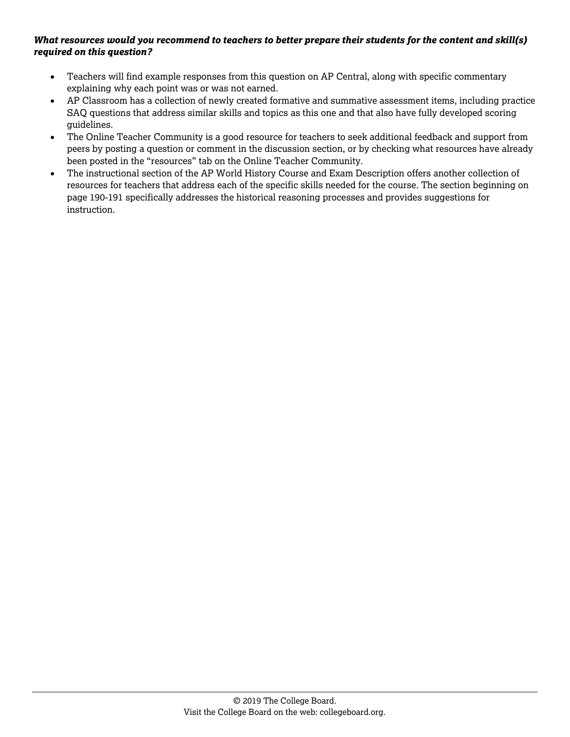- Teachers will find example responses from this question on AP Central, along with specific commentary explaining why each point was or was not earned.
- AP Classroom has a collection of newly created formative and summative assessment items, including practice SAQ questions that address similar skills and topics as this one and that also have fully developed scoring guidelines.
- The Online Teacher Community is a good resource for teachers to seek additional feedback and support from peers by posting a question or comment in the discussion section, or by checking what resources have already been posted in the "resources" tab on the Online Teacher Community.
- The instructional section of the AP World History Course and Exam Description offers another collection of resources for teachers that address each of the specific skills needed for the course. The section beginning on page 190-191 specifically addresses the historical reasoning processes and provides suggestions for instruction.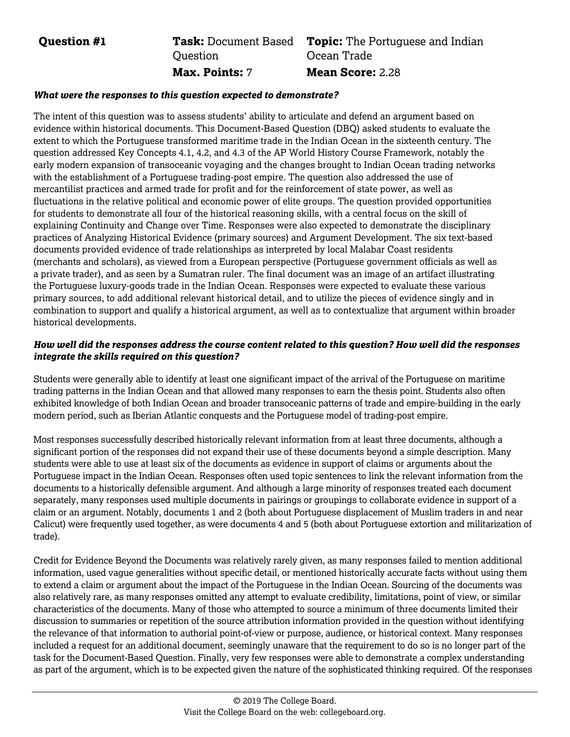#### **Question #1 Task:** Document Based **Ouestion Topic:** The Portuguese and Indian Ocean Trade **Max. Points:** 7 **Mean Score:** 2.28

#### *What were the responses to this question expected to demonstrate?*

The intent of this question was to assess students' ability to articulate and defend an argument based on evidence within historical documents. This Document-Based Question (DBQ) asked students to evaluate the extent to which the Portuguese transformed maritime trade in the Indian Ocean in the sixteenth century. The question addressed Key Concepts 4.1, 4.2, and 4.3 of the AP World History Course Framework, notably the early modern expansion of transoceanic voyaging and the changes brought to Indian Ocean trading networks with the establishment of a Portuguese trading-post empire. The question also addressed the use of mercantilist practices and armed trade for profit and for the reinforcement of state power, as well as fluctuations in the relative political and economic power of elite groups. The question provided opportunities for students to demonstrate all four of the historical reasoning skills, with a central focus on the skill of explaining Continuity and Change over Time. Responses were also expected to demonstrate the disciplinary practices of Analyzing Historical Evidence (primary sources) and Argument Development. The six text-based documents provided evidence of trade relationships as interpreted by local Malabar Coast residents (merchants and scholars), as viewed from a European perspective (Portuguese government officials as well as a private trader), and as seen by a Sumatran ruler. The final document was an image of an artifact illustrating the Portuguese luxury-goods trade in the Indian Ocean. Responses were expected to evaluate these various primary sources, to add additional relevant historical detail, and to utilize the pieces of evidence singly and in combination to support and qualify a historical argument, as well as to contextualize that argument within broader historical developments.

#### *How well did the responses address the course content related to this question? How well did the responses integrate the skills required on this question?*

Students were generally able to identify at least one significant impact of the arrival of the Portuguese on maritime trading patterns in the Indian Ocean and that allowed many responses to earn the thesis point. Students also often exhibited knowledge of both Indian Ocean and broader transoceanic patterns of trade and empire-building in the early modern period, such as Iberian Atlantic conquests and the Portuguese model of trading-post empire.

Most responses successfully described historically relevant information from at least three documents, although a significant portion of the responses did not expand their use of these documents beyond a simple description. Many students were able to use at least six of the documents as evidence in support of claims or arguments about the Portuguese impact in the Indian Ocean. Responses often used topic sentences to link the relevant information from the documents to a historically defensible argument. And although a large minority of responses treated each document separately, many responses used multiple documents in pairings or groupings to collaborate evidence in support of a claim or an argument. Notably, documents 1 and 2 (both about Portuguese displacement of Muslim traders in and near Calicut) were frequently used together, as were documents 4 and 5 (both about Portuguese extortion and militarization of trade).

Credit for Evidence Beyond the Documents was relatively rarely given, as many responses failed to mention additional information, used vague generalities without specific detail, or mentioned historically accurate facts without using them to extend a claim or argument about the impact of the Portuguese in the Indian Ocean. Sourcing of the documents was also relatively rare, as many responses omitted any attempt to evaluate credibility, limitations, point of view, or similar characteristics of the documents. Many of those who attempted to source a minimum of three documents limited their discussion to summaries or repetition of the source attribution information provided in the question without identifying the relevance of that information to authorial point-of-view or purpose, audience, or historical context. Many responses included a request for an additional document, seemingly unaware that the requirement to do so is no longer part of the task for the Document-Based Question. Finally, very few responses were able to demonstrate a complex understanding as part of the argument, which is to be expected given the nature of the sophisticated thinking required. Of the responses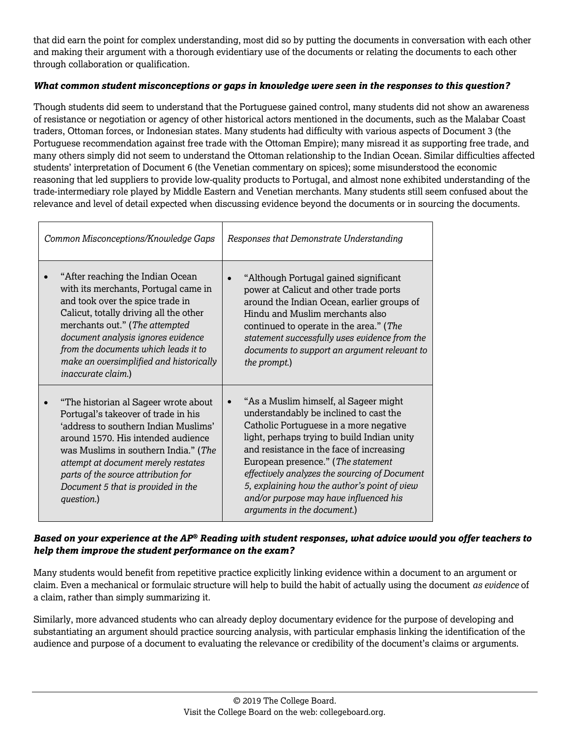that did earn the point for complex understanding, most did so by putting the documents in conversation with each other and making their argument with a thorough evidentiary use of the documents or relating the documents to each other through collaboration or qualification.

#### *What common student misconceptions or gaps in knowledge were seen in the responses to this question?*

Though students did seem to understand that the Portuguese gained control, many students did not show an awareness of resistance or negotiation or agency of other historical actors mentioned in the documents, such as the Malabar Coast traders, Ottoman forces, or Indonesian states. Many students had difficulty with various aspects of Document 3 (the Portuguese recommendation against free trade with the Ottoman Empire); many misread it as supporting free trade, and many others simply did not seem to understand the Ottoman relationship to the Indian Ocean. Similar difficulties affected students' interpretation of Document 6 (the Venetian commentary on spices); some misunderstood the economic reasoning that led suppliers to provide low-quality products to Portugal, and almost none exhibited understanding of the trade-intermediary role played by Middle Eastern and Venetian merchants. Many students still seem confused about the relevance and level of detail expected when discussing evidence beyond the documents or in sourcing the documents.

| Common Misconceptions/Knowledge Gaps                                                                                                                                                                                                                                                                                                            | Responses that Demonstrate Understanding                                                                                                                                                                                                                                                                                                                                                                                             |  |  |
|-------------------------------------------------------------------------------------------------------------------------------------------------------------------------------------------------------------------------------------------------------------------------------------------------------------------------------------------------|--------------------------------------------------------------------------------------------------------------------------------------------------------------------------------------------------------------------------------------------------------------------------------------------------------------------------------------------------------------------------------------------------------------------------------------|--|--|
| "After reaching the Indian Ocean<br>with its merchants, Portugal came in<br>and took over the spice trade in<br>Calicut, totally driving all the other<br>merchants out." (The attempted<br>document analysis ignores evidence<br>from the documents which leads it to<br>make an oversimplified and historically<br><i>inaccurate claim.</i> ) | "Although Portugal gained significant<br>power at Calicut and other trade ports<br>around the Indian Ocean, earlier groups of<br>Hindu and Muslim merchants also<br>continued to operate in the area." (The<br>statement successfully uses evidence from the<br>documents to support an argument relevant to<br>the prompt.)                                                                                                         |  |  |
| "The historian al Sageer wrote about<br>Portugal's takeover of trade in his<br>'address to southern Indian Muslims'<br>around 1570. His intended audience<br>was Muslims in southern India." (The<br>attempt at document merely restates<br>parts of the source attribution for<br>Document 5 that is provided in the<br>question.)             | "As a Muslim himself, al Sageer might<br>understandably be inclined to cast the<br>Catholic Portuguese in a more negative<br>light, perhaps trying to build Indian unity<br>and resistance in the face of increasing<br>European presence." (The statement<br>effectively analyzes the sourcing of Document<br>5, explaining how the author's point of view<br>and/or purpose may have influenced his<br>arguments in the document.) |  |  |

### *Based on your experience at the AP® Reading with student responses, what advice would you offer teachers to help them improve the student performance on the exam?*

Many students would benefit from repetitive practice explicitly linking evidence within a document to an argument or claim. Even a mechanical or formulaic structure will help to build the habit of actually using the document *as evidence* of a claim, rather than simply summarizing it.

Similarly, more advanced students who can already deploy documentary evidence for the purpose of developing and substantiating an argument should practice sourcing analysis, with particular emphasis linking the identification of the audience and purpose of a document to evaluating the relevance or credibility of the document's claims or arguments.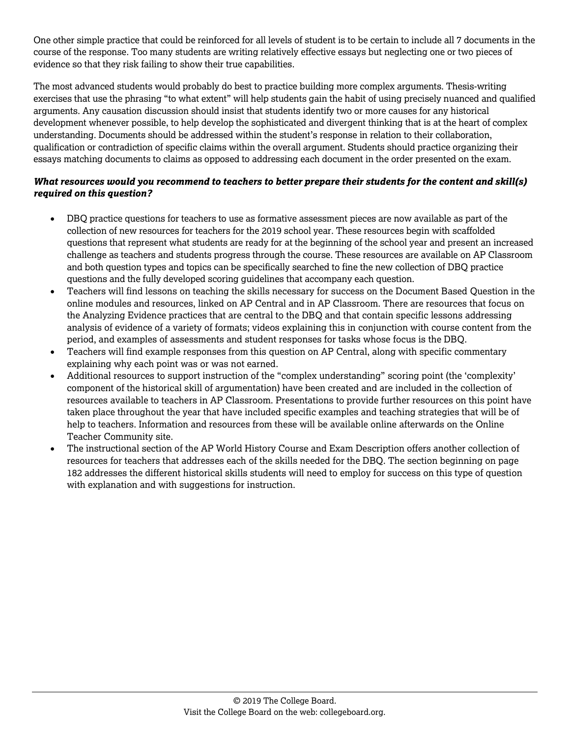One other simple practice that could be reinforced for all levels of student is to be certain to include all 7 documents in the course of the response. Too many students are writing relatively effective essays but neglecting one or two pieces of evidence so that they risk failing to show their true capabilities.

The most advanced students would probably do best to practice building more complex arguments. Thesis-writing exercises that use the phrasing "to what extent" will help students gain the habit of using precisely nuanced and qualified arguments. Any causation discussion should insist that students identify two or more causes for any historical development whenever possible, to help develop the sophisticated and divergent thinking that is at the heart of complex understanding. Documents should be addressed within the student's response in relation to their collaboration, qualification or contradiction of specific claims within the overall argument. Students should practice organizing their essays matching documents to claims as opposed to addressing each document in the order presented on the exam.

- DBQ practice questions for teachers to use as formative assessment pieces are now available as part of the collection of new resources for teachers for the 2019 school year. These resources begin with scaffolded questions that represent what students are ready for at the beginning of the school year and present an increased challenge as teachers and students progress through the course. These resources are available on AP Classroom and both question types and topics can be specifically searched to fine the new collection of DBQ practice questions and the fully developed scoring guidelines that accompany each question.
- Teachers will find lessons on teaching the skills necessary for success on the Document Based Question in the online modules and resources, linked on AP Central and in AP Classroom. There are resources that focus on the Analyzing Evidence practices that are central to the DBQ and that contain specific lessons addressing analysis of evidence of a variety of formats; videos explaining this in conjunction with course content from the period, and examples of assessments and student responses for tasks whose focus is the DBQ.
- Teachers will find example responses from this question on AP Central, along with specific commentary explaining why each point was or was not earned.
- Additional resources to support instruction of the "complex understanding" scoring point (the 'complexity' component of the historical skill of argumentation) have been created and are included in the collection of resources available to teachers in AP Classroom. Presentations to provide further resources on this point have taken place throughout the year that have included specific examples and teaching strategies that will be of help to teachers. Information and resources from these will be available online afterwards on the Online Teacher Community site.
- The instructional section of the AP World History Course and Exam Description offers another collection of resources for teachers that addresses each of the skills needed for the DBQ. The section beginning on page 182 addresses the different historical skills students will need to employ for success on this type of question with explanation and with suggestions for instruction.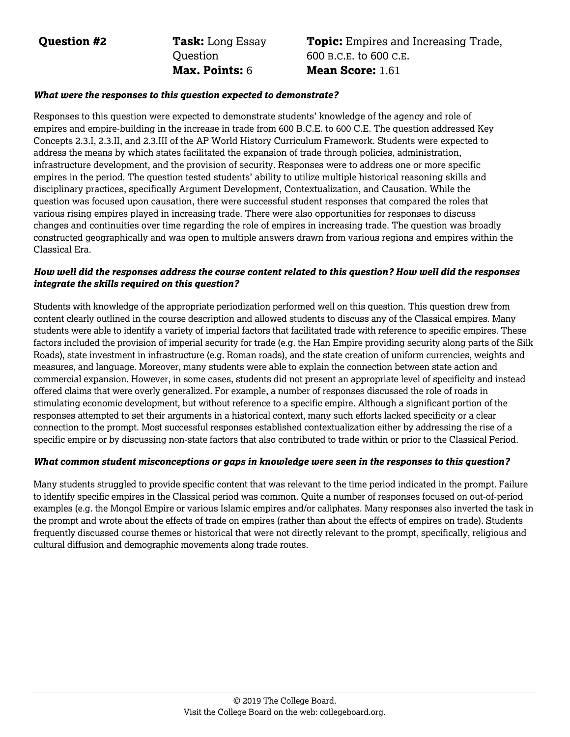**Question #2 Task:** Long Essay **Ouestion Max. Points:** 6 **Mean Score:** 1.61

# **Topic:** Empires and Increasing Trade, 600 B.C.E. to 600 C.E.

#### *What were the responses to this question expected to demonstrate?*

Responses to this question were expected to demonstrate students' knowledge of the agency and role of empires and empire-building in the increase in trade from 600 B.C.E. to 600 C.E. The question addressed Key Concepts 2.3.I, 2.3.II, and 2.3.III of the AP World History Curriculum Framework. Students were expected to address the means by which states facilitated the expansion of trade through policies, administration, infrastructure development, and the provision of security. Responses were to address one or more specific empires in the period. The question tested students' ability to utilize multiple historical reasoning skills and disciplinary practices, specifically Argument Development, Contextualization, and Causation. While the question was focused upon causation, there were successful student responses that compared the roles that various rising empires played in increasing trade. There were also opportunities for responses to discuss changes and continuities over time regarding the role of empires in increasing trade. The question was broadly constructed geographically and was open to multiple answers drawn from various regions and empires within the Classical Era.

#### *How well did the responses address the course content related to this question? How well did the responses integrate the skills required on this question?*

Students with knowledge of the appropriate periodization performed well on this question. This question drew from content clearly outlined in the course description and allowed students to discuss any of the Classical empires. Many students were able to identify a variety of imperial factors that facilitated trade with reference to specific empires. These factors included the provision of imperial security for trade (e.g. the Han Empire providing security along parts of the Silk Roads), state investment in infrastructure (e.g. Roman roads), and the state creation of uniform currencies, weights and measures, and language. Moreover, many students were able to explain the connection between state action and commercial expansion. However, in some cases, students did not present an appropriate level of specificity and instead offered claims that were overly generalized. For example, a number of responses discussed the role of roads in stimulating economic development, but without reference to a specific empire. Although a significant portion of the responses attempted to set their arguments in a historical context, many such efforts lacked specificity or a clear connection to the prompt. Most successful responses established contextualization either by addressing the rise of a specific empire or by discussing non-state factors that also contributed to trade within or prior to the Classical Period.

#### *What common student misconceptions or gaps in knowledge were seen in the responses to this question?*

Many students struggled to provide specific content that was relevant to the time period indicated in the prompt. Failure to identify specific empires in the Classical period was common. Quite a number of responses focused on out-of-period examples (e.g. the Mongol Empire or various Islamic empires and/or caliphates. Many responses also inverted the task in the prompt and wrote about the effects of trade on empires (rather than about the effects of empires on trade). Students frequently discussed course themes or historical that were not directly relevant to the prompt, specifically, religious and cultural diffusion and demographic movements along trade routes.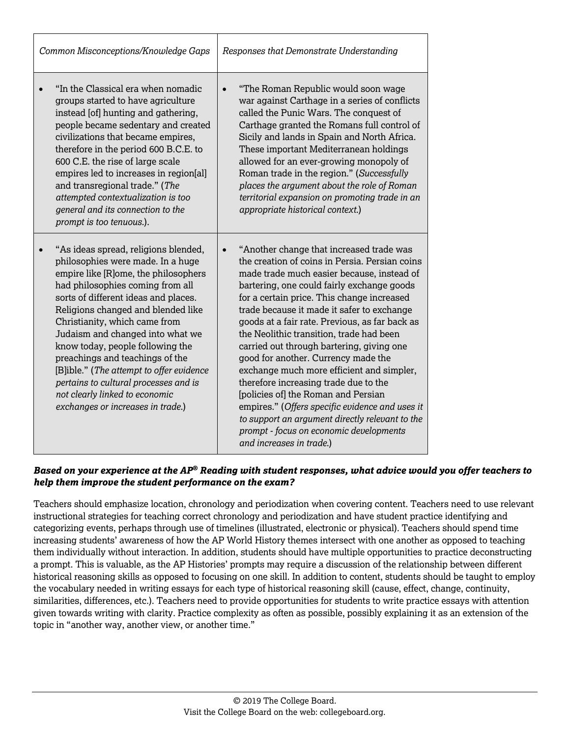| Common Misconceptions/Knowledge Gaps                                                                                                                                                                                                                                                                                                                                                                                                                                                                                                        | Responses that Demonstrate Understanding                                                                                                                                                                                                                                                                                                                                                                                                                                                                                                                                                                                                                                                                                                                                                    |  |
|---------------------------------------------------------------------------------------------------------------------------------------------------------------------------------------------------------------------------------------------------------------------------------------------------------------------------------------------------------------------------------------------------------------------------------------------------------------------------------------------------------------------------------------------|---------------------------------------------------------------------------------------------------------------------------------------------------------------------------------------------------------------------------------------------------------------------------------------------------------------------------------------------------------------------------------------------------------------------------------------------------------------------------------------------------------------------------------------------------------------------------------------------------------------------------------------------------------------------------------------------------------------------------------------------------------------------------------------------|--|
| "In the Classical era when nomadic<br>groups started to have agriculture<br>instead [of] hunting and gathering,<br>people became sedentary and created<br>civilizations that became empires,<br>therefore in the period 600 B.C.E. to<br>600 C.E. the rise of large scale<br>empires led to increases in region[al]<br>and transregional trade." (The<br>attempted contextualization is too<br>general and its connection to the<br>prompt is too tenuous.).                                                                                | "The Roman Republic would soon wage<br>$\bullet$<br>war against Carthage in a series of conflicts<br>called the Punic Wars. The conquest of<br>Carthage granted the Romans full control of<br>Sicily and lands in Spain and North Africa.<br>These important Mediterranean holdings<br>allowed for an ever-growing monopoly of<br>Roman trade in the region." (Successfully<br>places the argument about the role of Roman<br>territorial expansion on promoting trade in an<br>appropriate historical context.)                                                                                                                                                                                                                                                                            |  |
| "As ideas spread, religions blended,<br>philosophies were made. In a huge<br>empire like [R]ome, the philosophers<br>had philosophies coming from all<br>sorts of different ideas and places.<br>Religions changed and blended like<br>Christianity, which came from<br>Judaism and changed into what we<br>know today, people following the<br>preachings and teachings of the<br>[B]ible." (The attempt to offer evidence<br>pertains to cultural processes and is<br>not clearly linked to economic<br>exchanges or increases in trade.) | "Another change that increased trade was<br>$\bullet$<br>the creation of coins in Persia. Persian coins<br>made trade much easier because, instead of<br>bartering, one could fairly exchange goods<br>for a certain price. This change increased<br>trade because it made it safer to exchange<br>goods at a fair rate. Previous, as far back as<br>the Neolithic transition, trade had been<br>carried out through bartering, giving one<br>good for another. Currency made the<br>exchange much more efficient and simpler,<br>therefore increasing trade due to the<br>[policies of] the Roman and Persian<br>empires." (Offers specific evidence and uses it<br>to support an argument directly relevant to the<br>prompt - focus on economic developments<br>and increases in trade.) |  |

Teachers should emphasize location, chronology and periodization when covering content. Teachers need to use relevant instructional strategies for teaching correct chronology and periodization and have student practice identifying and categorizing events, perhaps through use of timelines (illustrated, electronic or physical). Teachers should spend time increasing students' awareness of how the AP World History themes intersect with one another as opposed to teaching them individually without interaction. In addition, students should have multiple opportunities to practice deconstructing a prompt. This is valuable, as the AP Histories' prompts may require a discussion of the relationship between different historical reasoning skills as opposed to focusing on one skill. In addition to content, students should be taught to employ the vocabulary needed in writing essays for each type of historical reasoning skill (cause, effect, change, continuity, similarities, differences, etc.). Teachers need to provide opportunities for students to write practice essays with attention given towards writing with clarity. Practice complexity as often as possible, possibly explaining it as an extension of the topic in "another way, another view, or another time."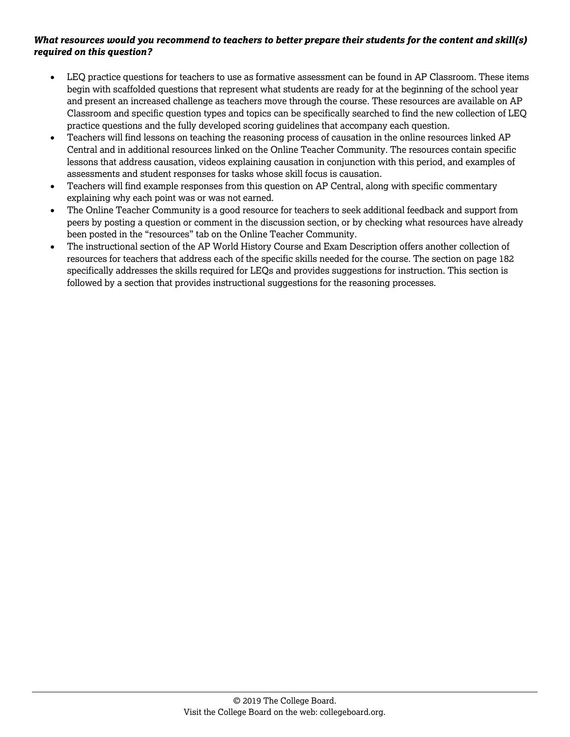- LEQ practice questions for teachers to use as formative assessment can be found in AP Classroom. These items begin with scaffolded questions that represent what students are ready for at the beginning of the school year and present an increased challenge as teachers move through the course. These resources are available on AP Classroom and specific question types and topics can be specifically searched to find the new collection of LEQ practice questions and the fully developed scoring guidelines that accompany each question.
- Teachers will find lessons on teaching the reasoning process of causation in the online resources linked AP Central and in additional resources linked on the Online Teacher Community. The resources contain specific lessons that address causation, videos explaining causation in conjunction with this period, and examples of assessments and student responses for tasks whose skill focus is causation.
- Teachers will find example responses from this question on AP Central, along with specific commentary explaining why each point was or was not earned.
- The Online Teacher Community is a good resource for teachers to seek additional feedback and support from peers by posting a question or comment in the discussion section, or by checking what resources have already been posted in the "resources" tab on the Online Teacher Community.
- The instructional section of the AP World History Course and Exam Description offers another collection of resources for teachers that address each of the specific skills needed for the course. The section on page 182 specifically addresses the skills required for LEQs and provides suggestions for instruction. This section is followed by a section that provides instructional suggestions for the reasoning processes.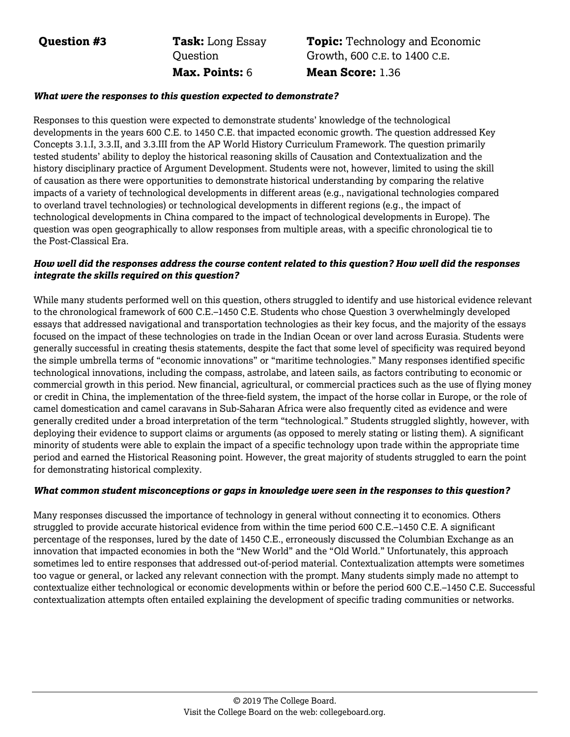**Question #3 Task:** Long Essay **Ouestion Max. Points:** 6 **Mean Score:** 1.36

# **Topic:** Technology and Economic Growth, 600 C.E. to 1400 C.E.

#### *What were the responses to this question expected to demonstrate?*

Responses to this question were expected to demonstrate students' knowledge of the technological developments in the years 600 C.E. to 1450 C.E. that impacted economic growth. The question addressed Key Concepts 3.1.I, 3.3.II, and 3.3.III from the AP World History Curriculum Framework. The question primarily tested students' ability to deploy the historical reasoning skills of Causation and Contextualization and the history disciplinary practice of Argument Development. Students were not, however, limited to using the skill of causation as there were opportunities to demonstrate historical understanding by comparing the relative impacts of a variety of technological developments in different areas (e.g., navigational technologies compared to overland travel technologies) or technological developments in different regions (e.g., the impact of technological developments in China compared to the impact of technological developments in Europe). The question was open geographically to allow responses from multiple areas, with a specific chronological tie to the Post-Classical Era.

#### *How well did the responses address the course content related to this question? How well did the responses integrate the skills required on this question?*

While many students performed well on this question, others struggled to identify and use historical evidence relevant to the chronological framework of 600 C.E.–1450 C.E. Students who chose Question 3 overwhelmingly developed essays that addressed navigational and transportation technologies as their key focus, and the majority of the essays focused on the impact of these technologies on trade in the Indian Ocean or over land across Eurasia. Students were generally successful in creating thesis statements, despite the fact that some level of specificity was required beyond the simple umbrella terms of "economic innovations" or "maritime technologies." Many responses identified specific technological innovations, including the compass, astrolabe, and lateen sails, as factors contributing to economic or commercial growth in this period. New financial, agricultural, or commercial practices such as the use of flying money or credit in China, the implementation of the three-field system, the impact of the horse collar in Europe, or the role of camel domestication and camel caravans in Sub-Saharan Africa were also frequently cited as evidence and were generally credited under a broad interpretation of the term "technological." Students struggled slightly, however, with deploying their evidence to support claims or arguments (as opposed to merely stating or listing them). A significant minority of students were able to explain the impact of a specific technology upon trade within the appropriate time period and earned the Historical Reasoning point. However, the great majority of students struggled to earn the point for demonstrating historical complexity.

#### *What common student misconceptions or gaps in knowledge were seen in the responses to this question?*

Many responses discussed the importance of technology in general without connecting it to economics. Others struggled to provide accurate historical evidence from within the time period 600 C.E.–1450 C.E. A significant percentage of the responses, lured by the date of 1450 C.E., erroneously discussed the Columbian Exchange as an innovation that impacted economies in both the "New World" and the "Old World." Unfortunately, this approach sometimes led to entire responses that addressed out-of-period material. Contextualization attempts were sometimes too vague or general, or lacked any relevant connection with the prompt. Many students simply made no attempt to contextualize either technological or economic developments within or before the period 600 C.E.–1450 C.E. Successful contextualization attempts often entailed explaining the development of specific trading communities or networks.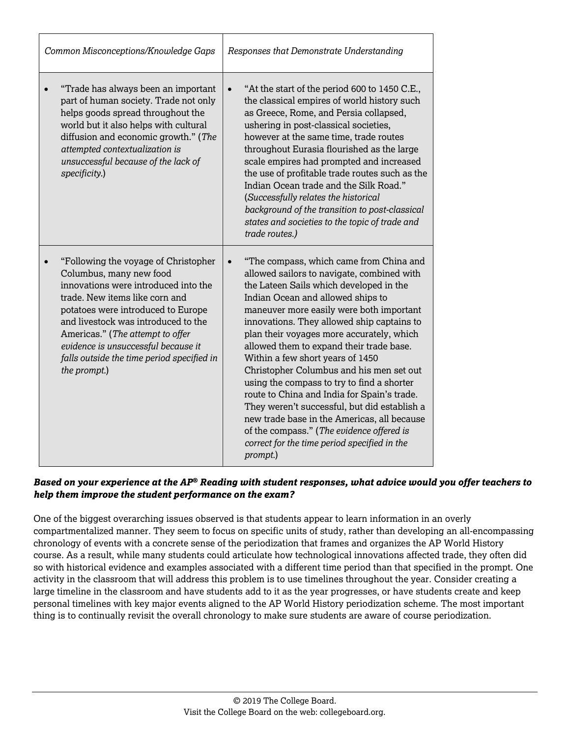| Common Misconceptions/Knowledge Gaps                                                                                                                                                                                                                                                                                                                            | Responses that Demonstrate Understanding                                                                                                                                                                                                                                                                                                                                                                                                                                                                                                                                                                                                                                                                                                      |  |
|-----------------------------------------------------------------------------------------------------------------------------------------------------------------------------------------------------------------------------------------------------------------------------------------------------------------------------------------------------------------|-----------------------------------------------------------------------------------------------------------------------------------------------------------------------------------------------------------------------------------------------------------------------------------------------------------------------------------------------------------------------------------------------------------------------------------------------------------------------------------------------------------------------------------------------------------------------------------------------------------------------------------------------------------------------------------------------------------------------------------------------|--|
| "Trade has always been an important<br>part of human society. Trade not only<br>helps goods spread throughout the<br>world but it also helps with cultural<br>diffusion and economic growth." (The<br>attempted contextualization is<br>unsuccessful because of the lack of<br>specificity.)                                                                    | "At the start of the period 600 to 1450 C.E.,<br>$\bullet$<br>the classical empires of world history such<br>as Greece, Rome, and Persia collapsed,<br>ushering in post-classical societies,<br>however at the same time, trade routes<br>throughout Eurasia flourished as the large<br>scale empires had prompted and increased<br>the use of profitable trade routes such as the<br>Indian Ocean trade and the Silk Road."<br>(Successfully relates the historical<br>background of the transition to post-classical<br>states and societies to the topic of trade and<br>trade routes.)                                                                                                                                                    |  |
| "Following the voyage of Christopher<br>Columbus, many new food<br>innovations were introduced into the<br>trade. New items like corn and<br>potatoes were introduced to Europe<br>and livestock was introduced to the<br>Americas." (The attempt to offer<br>evidence is unsuccessful because it<br>falls outside the time period specified in<br>the prompt.) | "The compass, which came from China and<br>allowed sailors to navigate, combined with<br>the Lateen Sails which developed in the<br>Indian Ocean and allowed ships to<br>maneuver more easily were both important<br>innovations. They allowed ship captains to<br>plan their voyages more accurately, which<br>allowed them to expand their trade base.<br>Within a few short years of 1450<br>Christopher Columbus and his men set out<br>using the compass to try to find a shorter<br>route to China and India for Spain's trade.<br>They weren't successful, but did establish a<br>new trade base in the Americas, all because<br>of the compass." (The evidence offered is<br>correct for the time period specified in the<br>prompt.) |  |

One of the biggest overarching issues observed is that students appear to learn information in an overly compartmentalized manner. They seem to focus on specific units of study, rather than developing an all-encompassing chronology of events with a concrete sense of the periodization that frames and organizes the AP World History course. As a result, while many students could articulate how technological innovations affected trade, they often did so with historical evidence and examples associated with a different time period than that specified in the prompt. One activity in the classroom that will address this problem is to use timelines throughout the year. Consider creating a large timeline in the classroom and have students add to it as the year progresses, or have students create and keep personal timelines with key major events aligned to the AP World History periodization scheme. The most important thing is to continually revisit the overall chronology to make sure students are aware of course periodization.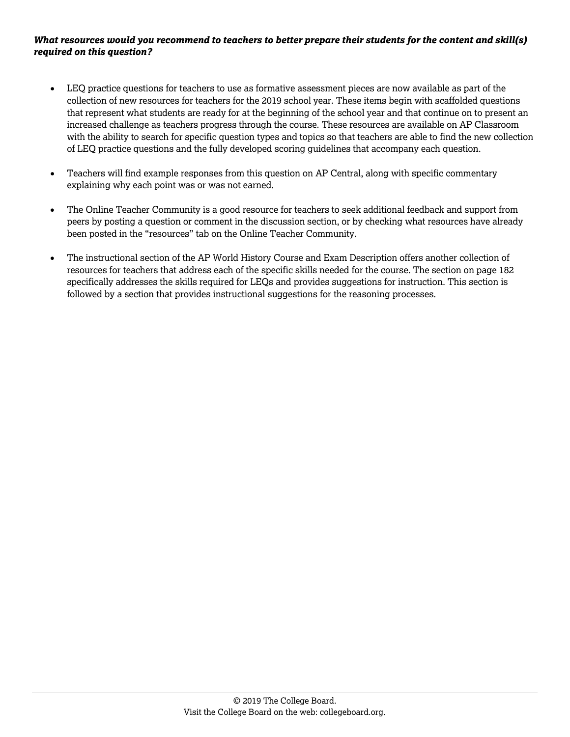- LEQ practice questions for teachers to use as formative assessment pieces are now available as part of the collection of new resources for teachers for the 2019 school year. These items begin with scaffolded questions that represent what students are ready for at the beginning of the school year and that continue on to present an increased challenge as teachers progress through the course. These resources are available on AP Classroom with the ability to search for specific question types and topics so that teachers are able to find the new collection of LEQ practice questions and the fully developed scoring guidelines that accompany each question.
- Teachers will find example responses from this question on AP Central, along with specific commentary explaining why each point was or was not earned.
- The Online Teacher Community is a good resource for teachers to seek additional feedback and support from peers by posting a question or comment in the discussion section, or by checking what resources have already been posted in the "resources" tab on the Online Teacher Community.
- The instructional section of the AP World History Course and Exam Description offers another collection of resources for teachers that address each of the specific skills needed for the course. The section on page 182 specifically addresses the skills required for LEQs and provides suggestions for instruction. This section is followed by a section that provides instructional suggestions for the reasoning processes.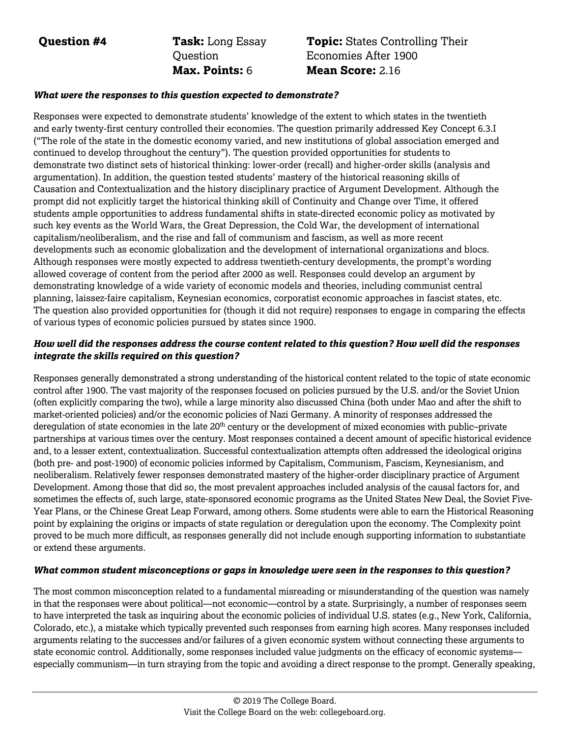**Question #4 Task:** Long Essay **Ouestion Max. Points:** 6 **Mean Score:** 2.16

# **Topic:** States Controlling Their Economies After 1900

#### *What were the responses to this question expected to demonstrate?*

Responses were expected to demonstrate students' knowledge of the extent to which states in the twentieth and early twenty-first century controlled their economies. The question primarily addressed Key Concept 6.3.I ("The role of the state in the domestic economy varied, and new institutions of global association emerged and continued to develop throughout the century"). The question provided opportunities for students to demonstrate two distinct sets of historical thinking: lower-order (recall) and higher-order skills (analysis and argumentation). In addition, the question tested students' mastery of the historical reasoning skills of Causation and Contextualization and the history disciplinary practice of Argument Development. Although the prompt did not explicitly target the historical thinking skill of Continuity and Change over Time, it offered students ample opportunities to address fundamental shifts in state-directed economic policy as motivated by such key events as the World Wars, the Great Depression, the Cold War, the development of international capitalism/neoliberalism, and the rise and fall of communism and fascism, as well as more recent developments such as economic globalization and the development of international organizations and blocs. Although responses were mostly expected to address twentieth-century developments, the prompt's wording allowed coverage of content from the period after 2000 as well. Responses could develop an argument by demonstrating knowledge of a wide variety of economic models and theories, including communist central planning, laissez-faire capitalism, Keynesian economics, corporatist economic approaches in fascist states, etc. The question also provided opportunities for (though it did not require) responses to engage in comparing the effects of various types of economic policies pursued by states since 1900.

#### *How well did the responses address the course content related to this question? How well did the responses integrate the skills required on this question?*

Responses generally demonstrated a strong understanding of the historical content related to the topic of state economic control after 1900. The vast majority of the responses focused on policies pursued by the U.S. and/or the Soviet Union (often explicitly comparing the two), while a large minority also discussed China (both under Mao and after the shift to market-oriented policies) and/or the economic policies of Nazi Germany. A minority of responses addressed the deregulation of state economies in the late 20<sup>th</sup> century or the development of mixed economies with public–private partnerships at various times over the century. Most responses contained a decent amount of specific historical evidence and, to a lesser extent, contextualization. Successful contextualization attempts often addressed the ideological origins (both pre- and post-1900) of economic policies informed by Capitalism, Communism, Fascism, Keynesianism, and neoliberalism. Relatively fewer responses demonstrated mastery of the higher-order disciplinary practice of Argument Development. Among those that did so, the most prevalent approaches included analysis of the causal factors for, and sometimes the effects of, such large, state-sponsored economic programs as the United States New Deal, the Soviet Five-Year Plans, or the Chinese Great Leap Forward, among others. Some students were able to earn the Historical Reasoning point by explaining the origins or impacts of state regulation or deregulation upon the economy. The Complexity point proved to be much more difficult, as responses generally did not include enough supporting information to substantiate or extend these arguments.

#### *What common student misconceptions or gaps in knowledge were seen in the responses to this question?*

The most common misconception related to a fundamental misreading or misunderstanding of the question was namely in that the responses were about political—not economic—control by a state. Surprisingly, a number of responses seem to have interpreted the task as inquiring about the economic policies of individual U.S. states (e.g., New York, California, Colorado, etc.), a mistake which typically prevented such responses from earning high scores. Many responses included arguments relating to the successes and/or failures of a given economic system without connecting these arguments to state economic control. Additionally, some responses included value judgments on the efficacy of economic systems especially communism—in turn straying from the topic and avoiding a direct response to the prompt. Generally speaking,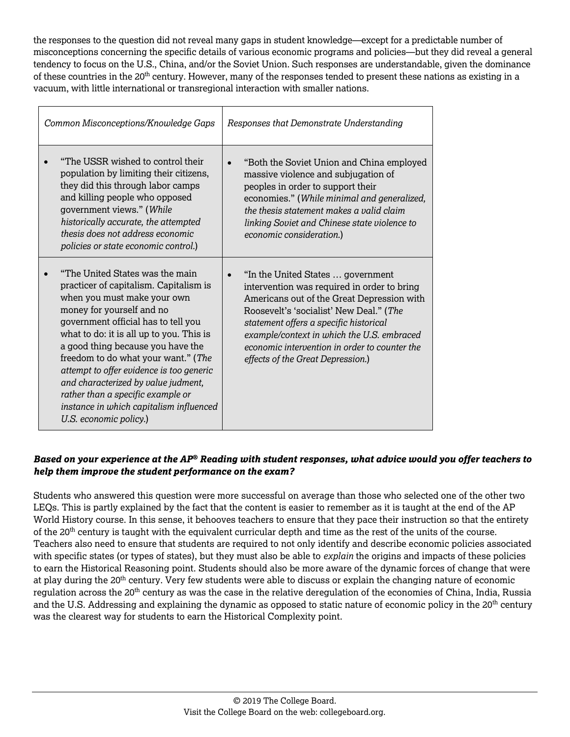the responses to the question did not reveal many gaps in student knowledge—except for a predictable number of misconceptions concerning the specific details of various economic programs and policies—but they did reveal a general tendency to focus on the U.S., China, and/or the Soviet Union. Such responses are understandable, given the dominance of these countries in the 20<sup>th</sup> century. However, many of the responses tended to present these nations as existing in a vacuum, with little international or transregional interaction with smaller nations.

| Common Misconceptions/Knowledge Gaps                                                                                                                                                                                                                                                                                                                                                                                                                                                              | Responses that Demonstrate Understanding                                                                                                                                                                                                                                                                                                                |  |
|---------------------------------------------------------------------------------------------------------------------------------------------------------------------------------------------------------------------------------------------------------------------------------------------------------------------------------------------------------------------------------------------------------------------------------------------------------------------------------------------------|---------------------------------------------------------------------------------------------------------------------------------------------------------------------------------------------------------------------------------------------------------------------------------------------------------------------------------------------------------|--|
| "The USSR wished to control their<br>population by limiting their citizens,<br>they did this through labor camps<br>and killing people who opposed<br>government views." (While<br>historically accurate, the attempted<br>thesis does not address economic<br>policies or state economic control.)                                                                                                                                                                                               | "Both the Soviet Union and China employed<br>massive violence and subjugation of<br>peoples in order to support their<br>economies." (While minimal and generalized,<br>the thesis statement makes a valid claim<br>linking Soviet and Chinese state violence to<br>economic consideration.)                                                            |  |
| "The United States was the main<br>practicer of capitalism. Capitalism is<br>when you must make your own<br>money for yourself and no<br>government official has to tell you<br>what to do: it is all up to you. This is<br>a good thing because you have the<br>freedom to do what your want." (The<br>attempt to offer evidence is too generic<br>and characterized by value judment,<br>rather than a specific example or<br>instance in which capitalism influenced<br>U.S. economic policy.) | "In the United States  government<br>intervention was required in order to bring<br>Americans out of the Great Depression with<br>Roosevelt's 'socialist' New Deal." (The<br>statement offers a specific historical<br>example/context in which the U.S. embraced<br>economic intervention in order to counter the<br>effects of the Great Depression.) |  |

### *Based on your experience at the AP® Reading with student responses, what advice would you offer teachers to help them improve the student performance on the exam?*

Students who answered this question were more successful on average than those who selected one of the other two LEQs. This is partly explained by the fact that the content is easier to remember as it is taught at the end of the AP World History course. In this sense, it behooves teachers to ensure that they pace their instruction so that the entirety of the 20<sup>th</sup> century is taught with the equivalent curricular depth and time as the rest of the units of the course. Teachers also need to ensure that students are required to not only identify and describe economic policies associated with specific states (or types of states), but they must also be able to *explain* the origins and impacts of these policies to earn the Historical Reasoning point. Students should also be more aware of the dynamic forces of change that were at play during the 20<sup>th</sup> century. Very few students were able to discuss or explain the changing nature of economic regulation across the 20<sup>th</sup> century as was the case in the relative deregulation of the economies of China, India, Russia and the U.S. Addressing and explaining the dynamic as opposed to static nature of economic policy in the 20<sup>th</sup> century was the clearest way for students to earn the Historical Complexity point.